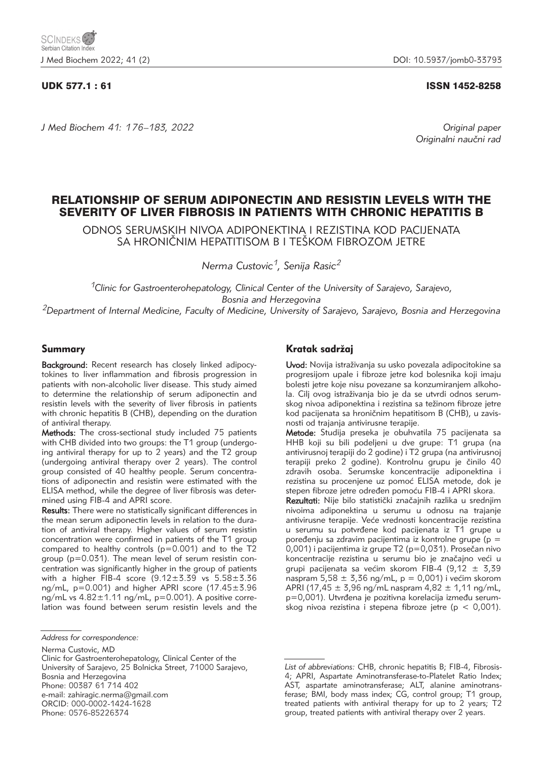*J Med Biochem 41: 176–183, 2022 Original paper*

### UDK 577.1 : 61 ISSN 1452-8258

Originalni naučni rad

# RELATIONSHIP OF SERUM ADIPONECTIN AND RESISTIN LEVELS WITH THE SEVERITY OF LIVER FIBROSIS IN PATIENTS WITH CHRONIC HEPATITIS B

ODNOS SERUMSKIH NIVOA ADIPONEKTINA I REZISTINA KOD PACIJENATA SA HRONIČNIM HEPATITISOM B I TEŠKOM FIBROZOM JETRE

*Nerma Custovic1, Senija Rasic2*

*1Clinic for Gastroenterohepatology, Clinical Center of the University of Sarajevo, Sarajevo, Bosnia and Herzegovina 2Department of Internal Medicine, Faculty of Medicine, University of Sarajevo, Sarajevo, Bosnia and Herzegovina*

## Summary

Background: Recent research has closely linked adipocytokines to liver inflammation and fibrosis progression in patients with non-alcoholic liver disease. This study aimed to determine the relationship of serum adiponectin and resistin levels with the severity of liver fibrosis in patients with chronic hepatitis B (CHB), depending on the duration of antiviral therapy.

Methods: The cross-sectional study included 75 patients with CHB divided into two groups: the T1 group (undergoing antiviral therapy for up to 2 years) and the T2 group (undergoing antiviral therapy over 2 years). The control group consisted of 40 healthy people. Serum concentrations of adiponectin and resistin were estimated with the ELISA method, while the degree of liver fibrosis was determined using FIB-4 and APRI score.

Results: There were no statistically significant differences in the mean serum adiponectin levels in relation to the duration of antiviral therapy. Higher values of serum resistin concentration were confirmed in patients of the T1 group compared to healthy controls (p=0.001) and to the T2 group (p=0.031). The mean level of serum resistin concentration was significantly higher in the group of patients with a higher FIB-4 score (9.12±3.39 vs 5.58±3.36 ng/mL,  $p=0.001$ ) and higher APRI score (17.45 $\pm$ 3.96 ng/mL vs 4.82±1.11 ng/mL, p=0.001). A positive correlation was found between serum resistin levels and the

Clinic for Gastroenterohepatology, Clinical Center of the University of Sarajevo, 25 Bolnicka Street, 71000 Sarajevo, Bosnia and Herzegovina Phone: 00387 61 714 402 e-mail: zahiragic.nerma@gmail.com ORCID: 000-0002-1424-1628 Phone: 0576-85226374

## Kratak sadržaj

Uvod: Novija istraživanja su usko povezala adipocitokine sa progresijom upale i fibroze jetre kod bolesnika koji imaju bolesti jetre koje nisu povezane sa konzumiranjem alkohola. Cilj ovog istraživanja bio je da se utvrdi odnos serumskog nivoa adiponektina i rezistina sa težinom fibroze jetre kod pacijenata sa hroničnim hepatitisom B (CHB), u zavisnosti od trajanja antivirusne terapije.

Metode: Studija preseka je obuhvatila 75 pacijenata sa HHB koji su bili podeljeni u dve grupe: T1 grupa (na antivirusnoj terapiji do 2 godine) i T2 grupa (na antivirusnoj terapiji preko 2 godine). Kontrolnu grupu je činilo 40 zdravih osoba. Serumske koncentracije adiponektina i rezistina su procenjene uz pomoć ELISA metode, dok je stepen fibroze jetre određen pomoću FIB-4 i APRI skora.

Rezultati: Nije bilo statistički značajnih razlika u srednjim nivoima adiponektina u serumu u odnosu na trajanje antivirusne terapije. Veće vrednosti koncentracije rezistina u serumu su potvrđene kod pacijenata iz T1 grupe u poređenju sa zdravim pacijentima iz kontrolne grupe (p =  $0,001$ ) i pacijentima iz grupe T2 (p=0,031). Prosečan nivo koncentracije rezistina u serumu bio je značajno veći u grupi pacijenata sa većim skorom FIB-4 (9,12  $\pm$  3,39 naspram  $5,58 \pm 3,36$  ng/mL,  $p = 0,001$ ) i većim skorom APRI (17,45  $\pm$  3,96 ng/mL naspram 4,82  $\pm$  1,11 ng/mL, p=0,001). Utvrđena je pozitivna korelacija između serumskog nivoa rezistina i stepena fibroze jetre (p < 0,001).

*Address for correspondence:*

Nerma Custovic, MD

*List of abbreviations:* CHB, chronic hepatitis B; FIB-4, Fibrosis-4; APRI, Aspartate Aminotransferase-to-Platelet Ratio Index; AST, aspartate aminotransferase; ALT, alanine aminotransferase; BMI, body mass index; CG, control group; T1 group, treated patients with antiviral therapy for up to 2 years; T2 group, treated patients with antiviral therapy over 2 years.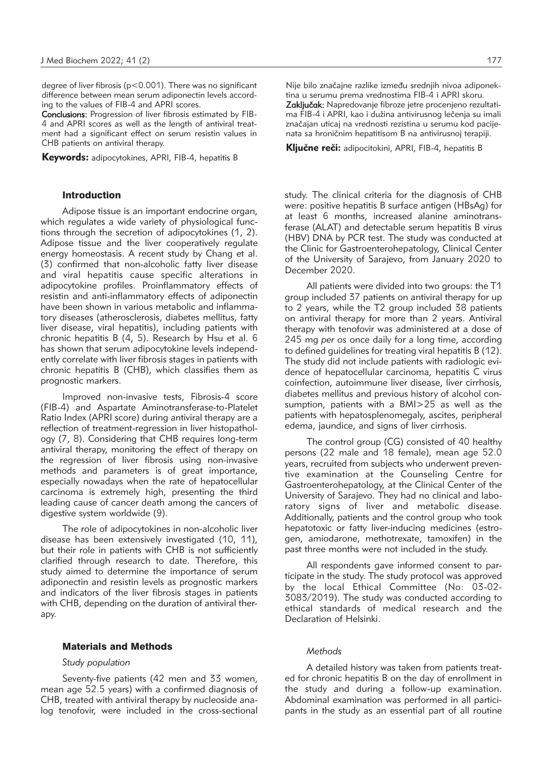degree of liver fibrosis (p<0.001). There was no significant difference between mean serum adiponectin levels according to the values of FIB-4 and APRI scores.

Conclusions: Progression of liver fibrosis estimated by FIB-4 and APRI scores as well as the length of antiviral treatment had a significant effect on serum resistin values in CHB patients on antiviral therapy.

**Keywords:** adipocytokines, APRI, FIB-4, hepatitis B

#### Introduction

Adipose tissue is an important endocrine organ, which regulates a wide variety of physiological functions through the secretion of adipocytokines (1, 2). Adipose tissue and the liver cooperatively regulate energy homeostasis. A recent study by Chang et al. (3) confirmed that non-alcoholic fatty liver disease and viral hepatitis cause specific alterations in adipocytokine profiles. Proinflammatory effects of resistin and anti-inflammatory effects of adiponectin have been shown in various metabolic and inflammatory diseases (atherosclerosis, diabetes mellitus, fatty liver disease, viral hepatitis), including patients with chronic hepatitis B (4, 5). Research by Hsu et al. 6 has shown that serum adipocytokine levels independently correlate with liver fibrosis stages in patients with chronic hepatitis B (CHB), which classifies them as prognostic markers.

Improved non-invasive tests, Fibrosis-4 score (FIB-4) and Aspartate Aminotransferase-to-Platelet Ratio Index (APRI score) during antiviral therapy are a reflection of treatment-regression in liver histopathology (7, 8). Considering that CHB requires long-term antiviral therapy, monitoring the effect of therapy on the regression of liver fibrosis using non-invasive methods and parameters is of great importance, especially nowadays when the rate of hepatocellular carcinoma is extremely high, presenting the third leading cause of cancer death among the cancers of digestive system worldwide (9).

The role of adipocytokines in non-alcoholic liver disease has been extensively investigated (10, 11), but their role in patients with CHB is not sufficiently clarified through research to date. Therefore, this study aimed to determine the importance of serum adiponectin and resistin levels as prognostic markers and indicators of the liver fibrosis stages in patients with CHB, depending on the duration of antiviral therapy.

#### Materials and Methods

#### *Study population*

Seventy-five patients (42 men and 33 women, mean age 52.5 years) with a confirmed diagnosis of CHB, treated with antiviral therapy by nucleoside analog tenofovir, were included in the cross-sectional Nije bilo značajne razlike između srednjih nivoa adiponektina u serumu prema vrednostima FIB-4 i APRI skoru. Zaključak: Napredovanje fibroze jetre procenjeno rezultatima FIB-4 i APRI, kao i dužina antivirusnog lečenja su imali značajan uticaj na vrednosti rezistina u serumu kod pacijenata sa hroničnim hepatitisom B na antivirusnoj terapiji.

Ključne reči: adipocitokini, APRI, FIB-4, hepatitis B

study. The clinical criteria for the diagnosis of CHB were: positive hepatitis B surface antigen (HBsAg) for at least 6 months, increased alanine aminotransferase (ALAT) and detectable serum hepatitis B virus (HBV) DNA by PCR test. The study was conducted at the Clinic for Gastroenterohepatology, Clinical Center of the University of Sarajevo, from January 2020 to December 2020.

All patients were divided into two groups: the T1 group included 37 patients on antiviral therapy for up to 2 years, while the T2 group included 38 patients on antiviral therapy for more than 2 years. Antiviral therapy with tenofovir was administered at a dose of 245 mg *per os* once daily for a long time, according to defined guidelines for treating viral hepatitis B (12). The study did not include patients with radiologic evidence of hepatocellular carcinoma, hepatitis C virus coinfection, autoimmune liver disease, liver cirrhosis, diabetes mellitus and previous history of alcohol consumption, patients with a BMI>25 as well as the patients with hepatosplenomegaly, ascites, peripheral edema, jaundice, and signs of liver cirrhosis.

The control group (CG) consisted of 40 healthy persons (22 male and 18 female), mean age 52.0 years, recruited from subjects who underwent preventive examination at the Counseling Centre for Gastroenterohepatology, at the Clinical Center of the University of Sarajevo. They had no clinical and laboratory signs of liver and metabolic disease. Additionally, patients and the control group who took hepatotoxic or fatty liver-inducing medicines (estrogen, amiodarone, methotrexate, tamoxifen) in the past three months were not included in the study.

All respondents gave informed consent to participate in the study. The study protocol was approved by the local Ethical Committee (No: 03-02- 3083/2019). The study was conducted according to ethical standards of medical research and the Declaration of Helsinki.

## *Methods*

A detailed history was taken from patients treated for chronic hepatitis B on the day of enrollment in the study and during a follow-up examination. Abdominal examination was performed in all participants in the study as an essential part of all routine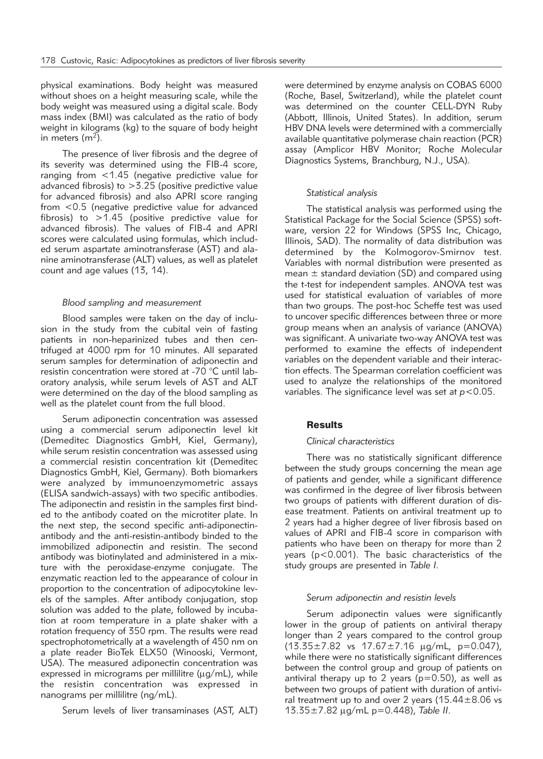physical examinations. Body height was measured without shoes on a height measuring scale, while the body weight was measured using a digital scale. Body mass index (BMI) was calculated as the ratio of body weight in kilograms (kg) to the square of body height in meters  $(m<sup>2</sup>)$ .

The presence of liver fibrosis and the degree of its severity was determined using the FIB-4 score, ranging from <1.45 (negative predictive value for advanced fibrosis) to >3.25 (positive predictive value for advanced fibrosis) and also APRI score ranging from <0.5 (negative predictive value for advanced fibrosis) to >1.45 (positive predictive value for advanced fibrosis). The values of FIB-4 and APRI scores were calculated using formulas, which included serum aspartate aminotransferase (AST) and alanine aminotransferase (ALT) values, as well as platelet count and age values (13, 14).

#### *Blood sampling and measurement*

Blood samples were taken on the day of inclusion in the study from the cubital vein of fasting patients in non-heparinized tubes and then centrifuged at 4000 rpm for 10 minutes. All separated serum samples for determination of adiponectin and resistin concentration were stored at -70 °C until laboratory analysis, while serum levels of AST and ALT were determined on the day of the blood sampling as well as the platelet count from the full blood.

Serum adiponectin concentration was assessed using a commercial serum adiponectin level kit (Demeditec Diagnostics GmbH, Kiel, Germany), while serum resistin concentration was assessed using a commercial resistin concentration kit (Demeditec Diagnostics GmbH, Kiel, Germany). Both biomarkers were analyzed by immunoenzymometric assays (ELISA sandwich-assays) with two specific antibodies. The adiponectin and resistin in the samples first binded to the antibody coated on the microtiter plate. In the next step, the second specific anti-adiponectinantibody and the anti-resistin-antibody binded to the immobilized adiponectin and resistin. The second antibody was biotinylated and administered in a mixture with the peroxidase-enzyme conjugate. The enzymatic reaction led to the appearance of colour in proportion to the concentration of adipocytokine levels of the samples. After antibody conjugation, stop solution was added to the plate, followed by incubation at room temperature in a plate shaker with a rotation frequency of 350 rpm. The results were read spectrophotometrically at a wavelength of 450 nm on a plate reader BioTek ELX50 (Winooski, Vermont, USA). The measured adiponectin concentration was expressed in micrograms per millilitre ( $\mu$ g/mL), while the resistin concentration was expressed in nanograms per millilitre (ng/mL).

Serum levels of liver transaminases (AST, ALT)

were determined by enzyme analysis on COBAS 6000 (Roche, Basel, Switzerland), while the platelet count was determined on the counter CELL-DYN Ruby (Abbott, Illinois, United States). In addition, serum HBV DNA levels were determined with a commercially available quantitative polymerase chain reaction (PCR) assay (Amplicor HBV Monitor; Roche Molecular Diagnostics Systems, Branchburg, N.J., USA).

#### *Statistical analysis*

The statistical analysis was performed using the Statistical Package for the Social Science (SPSS) software, version 22 for Windows (SPSS Inc, Chicago, Illinois, SAD). The normality of data distribution was determined by the Kolmogorov-Smirnov test. Variables with normal distribution were presented as mean  $\pm$  standard deviation (SD) and compared using the t-test for independent samples. ANOVA test was used for statistical evaluation of variables of more than two groups. The post-hoc Scheffe test was used to uncover specific differences between three or more group means when an analysis of variance (ANOVA) was significant. A univariate two-way ANOVA test was performed to examine the effects of independent variables on the dependent variable and their interaction effects. The Spearman correlation coefficient was used to analyze the relationships of the monitored variables. The significance level was set at *p<*0.05.

#### **Results**

#### *Clinical characteristics*

There was no statistically significant difference between the study groups concerning the mean age of patients and gender, while a significant difference was confirmed in the degree of liver fibrosis between two groups of patients with different duration of disease treatment. Patients on antiviral treatment up to 2 years had a higher degree of liver fibrosis based on values of APRI and FIB-4 score in comparison with patients who have been on therapy for more than 2 years (p<0.001). The basic characteristics of the study groups are presented in *Table I.*

#### *Serum adiponectin and resistin levels*

Serum adiponectin values were significantly lower in the group of patients on antiviral therapy longer than 2 years compared to the control group  $(13.35\pm7.82 \text{ vs } 17.67\pm7.16 \text{ µg/mL}, p=0.047)$ , while there were no statistically significant differences between the control group and group of patients on antiviral therapy up to 2 years ( $p=0.50$ ), as well as between two groups of patient with duration of antiviral treatment up to and over 2 years  $(15.44 \pm 8.06 \text{ vs } 10^{-12})$ 13.35±7.82 mg/mL p=0.448), *Table II*.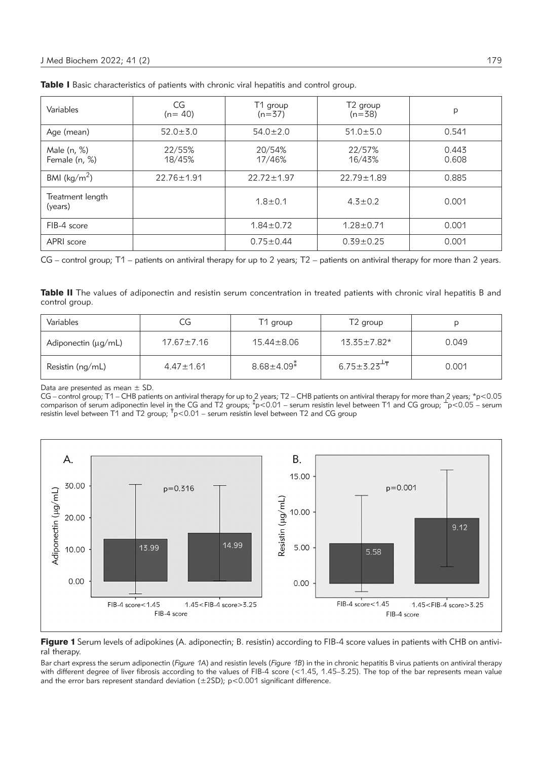| Variables                    | CG<br>$(n=40)$   | T1 group<br>$(n=37)$ | T <sub>2</sub> group<br>$(n=38)$ | p              |
|------------------------------|------------------|----------------------|----------------------------------|----------------|
| Age (mean)                   | $52.0 \pm 3.0$   | $54.0 \pm 2.0$       | $51.0 \pm 5.0$                   | 0.541          |
| Male (n, %)<br>Female (n, %) | 22/55%<br>18/45% | 20/54%<br>17/46%     | 22/57%<br>16/43%                 | 0.443<br>0.608 |
| BMI ( $\text{kg/m}^2$ )      | $22.76 \pm 1.91$ | $22.72 \pm 1.97$     | $22.79 \pm 1.89$                 | 0.885          |
| Treatment length<br>(years)  |                  | $1.8 + 0.1$          | $4.3 \pm 0.2$                    | 0.001          |
| FIB-4 score                  |                  | $1.84 \pm 0.72$      | $1.28 \pm 0.71$                  | 0.001          |
| APRI score                   |                  | $0.75 \pm 0.44$      | $0.39 \pm 0.25$                  | 0.001          |

Table I Basic characteristics of patients with chronic viral hepatitis and control group.

CG – control group; T1 – patients on antiviral therapy for up to 2 years; T2 – patients on antiviral therapy for more than 2 years.

Table II The values of adiponectin and resistin serum concentration in treated patients with chronic viral hepatitis B and control group.

| Variables                | CG               | T1 group         | T <sub>2</sub> group    |       |  |
|--------------------------|------------------|------------------|-------------------------|-------|--|
| Adiponectin $(\mu q/mL)$ | $17.67 \pm 7.16$ | $15.44 \pm 8.06$ | $13.35 \pm 7.82*$       | 0.049 |  |
| Resistin (ng/mL)         | $4.47 \pm 1.61$  | $8.68 \pm 4.09*$ | $6.75 \pm 3.23^{\pm 7}$ | 0.001 |  |

Data are presented as mean  $\pm$  SD.

CG – control group; T1 – CHB patients on antiviral therapy for up to 2 years; T2 – CHB patients on antiviral therapy for more than 2 years; \*p<0.05 comparison of serum adiponectin level in the CG and T2 groups;  $*p < 0.01$  – serum resistin level between T1 and CG group;  $+\frac{1}{p} < 0.05$  – serum resistin level between T1 and T2 group;  $\bar{r}_{p}$ <0.01 – serum resistin level between T2 and CG group



Figure 1 Serum levels of adipokines (A. adiponectin; B. resistin) according to FIB-4 score values in patients with CHB on antiviral therapy.

Bar chart express the serum adiponectin (*Figure 1A*) and resistin levels (*Figure 1B*) in the in chronic hepatitis B virus patients on antiviral therapy with different degree of liver fibrosis according to the values of FIB-4 score (<1.45, 1.45–3.25). The top of the bar represents mean value and the error bars represent standard deviation ( $\pm$ 2SD); p<0.001 significant difference.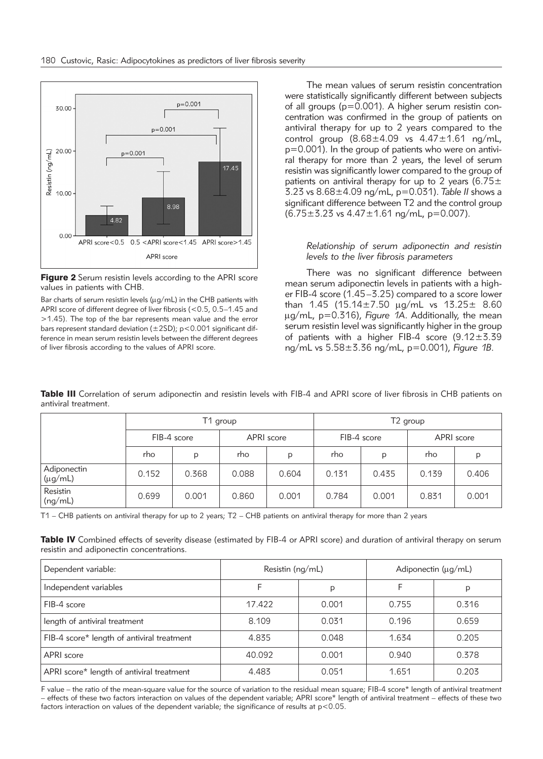

**Figure 2** Serum resistin levels according to the APRI score values in patients with CHB.

Bar charts of serum resistin levels ( $\mu$ g/mL) in the CHB patients with APRI score of different degree of liver fibrosis (<0.5, 0.5–1.45 and >1.45). The top of the bar represents mean value and the error bars represent standard deviation (±2SD); p<0.001 significant difference in mean serum resistin levels between the different degrees of liver fibrosis according to the values of APRI score.

The mean values of serum resistin concentration were statistically significantly different between subjects of all groups (p=0.001). A higher serum resistin concentration was confirmed in the group of patients on antiviral therapy for up to 2 years compared to the control group  $(8.68 \pm 4.09 \text{ vs } 4.47 \pm 1.61 \text{ ng/mL}$ , p=0.001). In the group of patients who were on antiviral therapy for more than 2 years, the level of serum resistin was significantly lower compared to the group of patients on antiviral therapy for up to 2 years (6.75 $\pm$ 3.23 vs 8.68±4.09 ng/mL, p=0.031). *Table II* shows a significant difference between T2 and the control group  $(6.75 \pm 3.23 \text{ vs } 4.47 \pm 1.61 \text{ ng/mL}, p=0.007)$ .

### *Relationship of serum adiponectin and resistin levels to the liver fibrosis parameters*

There was no significant difference between mean serum adiponectin levels in patients with a higher FIB-4 score (1.45–3.25) compared to a score lower than 1.45 (15.14 $\pm$ 7.50 µg/mL vs 13.25 $\pm$  8.60 mg/mL, p=0.316), *Figure 1A*. Additionally, the mean serum resistin level was significantly higher in the group of patients with a higher FIB-4 score (9.12±3.39 ng/mL vs 5.58±3.36 ng/mL, p=0.001), *Figure 1B.*

|                             | T1 group    |       |            | T <sub>2</sub> group |             |       |            |       |
|-----------------------------|-------------|-------|------------|----------------------|-------------|-------|------------|-------|
|                             | FIB-4 score |       | APRI score |                      | FIB-4 score |       | APRI score |       |
|                             | rho         | D     | rho        | p                    | rho         | p     | rho        | D     |
| Adiponectin<br>$(\mu g/mL)$ | 0.152       | 0.368 | 0.088      | 0.604                | 0.131       | 0.435 | 0.139      | 0.406 |
| Resistin<br>(ng/mL)         | 0.699       | 0.001 | 0.860      | 0.001                | 0.784       | 0.001 | 0.831      | 0.001 |

Table III Correlation of serum adiponectin and resistin levels with FIB-4 and APRI score of liver fibrosis in CHB patients on antiviral treatment.

T1 – CHB patients on antiviral therapy for up to 2 years; T2 – CHB patients on antiviral therapy for more than 2 years

Table IV Combined effects of severity disease (estimated by FIB-4 or APRI score) and duration of antiviral therapy on serum resistin and adiponectin concentrations.

| Dependent variable:                        | Resistin (ng/mL) |       | Adiponectin (µg/mL) |       |  |
|--------------------------------------------|------------------|-------|---------------------|-------|--|
| Independent variables                      |                  | p     | F                   | p     |  |
| FIB-4 score                                | 17.422           | 0.001 | 0.755               | 0.316 |  |
| length of antiviral treatment              | 8.109            | 0.031 | 0.196               | 0.659 |  |
| FIB-4 score* length of antiviral treatment | 4.835            | 0.048 | 1.634               | 0.205 |  |
| APRI score                                 | 40.092           | 0.001 | 0.940               | 0.378 |  |
| APRI score* length of antiviral treatment  | 4.483            | 0.051 | 1.651               | 0.203 |  |

F value – the ratio of the mean-square value for the source of variation to the residual mean square; FIB-4 score\* length of antiviral treatment – effects of these two factors interaction on values of the dependent variable; APRI score\* length of antiviral treatment – effects of these two factors interaction on values of the dependent variable; the significance of results at  $p < 0.05$ .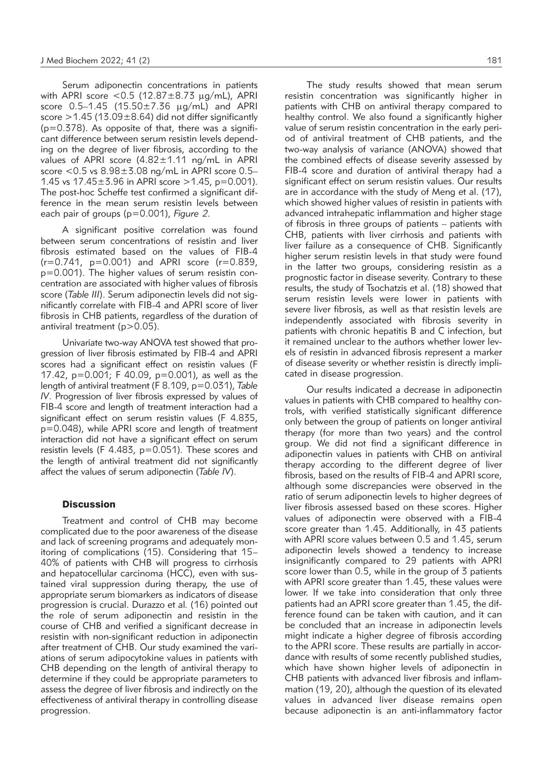Serum adiponectin concentrations in patients with APRI score  $< 0.5$  (12.87 $\pm$ 8.73  $\mu$ g/mL), APRI score  $0.5 - 1.45$  (15.50 ± 7.36  $\mu$ g/mL) and APRI score  $>$  1.45 (13.09 $\pm$  8.64) did not differ significantly  $(p=0.378)$ . As opposite of that, there was a significant difference between serum resistin levels depending on the degree of liver fibrosis, according to the values of APRI score (4.82±1.11 ng/mL in APRI score <0.5 vs 8.98±3.08 ng/mL in APRI score 0.5– 1.45 vs  $17.45 \pm 3.96$  in APRI score  $> 1.45$ , p=0.001). The post-hoc Scheffe test confirmed a significant difference in the mean serum resistin levels between each pair of groups (p=0.001), *Figure 2*.

A significant positive correlation was found between serum concentrations of resistin and liver fibrosis estimated based on the values of FIB-4  $(r=0.741, p=0.001)$  and APRI score  $(r=0.839, p=0.001)$ p=0.001). The higher values of serum resistin concentration are associated with higher values of fibrosis score (*Table III*). Serum adiponectin levels did not significantly correlate with FIB-4 and APRI score of liver fibrosis in CHB patients, regardless of the duration of antiviral treatment (p>0.05).

Univariate two-way ANOVA test showed that progression of liver fibrosis estimated by FIB-4 and APRI scores had a significant effect on resistin values (F 17.42, p=0.001; F 40.09, p=0.001), as well as the length of antiviral treatment (F 8.109, p=0.031), *Table IV*. Progression of liver fibrosis expressed by values of FIB-4 score and length of treatment interaction had a significant effect on serum resistin values (F 4.835, p=0.048), while APRI score and length of treatment interaction did not have a significant effect on serum resistin levels (F 4.483, p=0.051). These scores and the length of antiviral treatment did not significantly affect the values of serum adiponectin (*Table IV*).

#### **Discussion**

Treatment and control of CHB may become complicated due to the poor awareness of the disease and lack of screening programs and adequately monitoring of complications (15). Considering that 15– 40% of patients with CHB will progress to cirrhosis and hepatocellular carcinoma (HCC), even with sustained viral suppression during therapy, the use of appropriate serum biomarkers as indicators of disease progression is crucial. Durazzo et al*.* (16) pointed out the role of serum adiponectin and resistin in the course of CHB and verified a significant decrease in resistin with non-significant reduction in adiponectin after treatment of CHB. Our study examined the variations of serum adipocytokine values in patients with CHB depending on the length of antiviral therapy to determine if they could be appropriate parameters to assess the degree of liver fibrosis and indirectly on the effectiveness of antiviral therapy in controlling disease progression.

The study results showed that mean serum resistin concentration was significantly higher in patients with CHB on antiviral therapy compared to healthy control. We also found a significantly higher value of serum resistin concentration in the early period of antiviral treatment of CHB patients, and the two-way analysis of variance (ANOVA) showed that the combined effects of disease severity assessed by FIB-4 score and duration of antiviral therapy had a significant effect on serum resistin values. Our results are in accordance with the study of Meng et al. (17), which showed higher values of resistin in patients with advanced intrahepatic inflammation and higher stage of fibrosis in three groups of patients – patients with CHB, patients with liver cirrhosis and patients with liver failure as a consequence of CHB. Significantly higher serum resistin levels in that study were found in the latter two groups, considering resistin as a prognostic factor in disease severity. Contrary to these results, the study of Tsochatzis et al. (18) showed that serum resistin levels were lower in patients with severe liver fibrosis, as well as that resistin levels are independently associated with fibrosis severity in patients with chronic hepatitis B and C infection, but it remained unclear to the authors whether lower levels of resistin in advanced fibrosis represent a marker of disease severity or whether resistin is directly implicated in disease progression.

Our results indicated a decrease in adiponectin values in patients with CHB compared to healthy controls, with verified statistically significant difference only between the group of patients on longer antiviral therapy (for more than two years) and the control group. We did not find a significant difference in adiponectin values in patients with CHB on antiviral therapy according to the different degree of liver fibrosis, based on the results of FIB-4 and APRI score, although some discrepancies were observed in the ratio of serum adiponectin levels to higher degrees of liver fibrosis assessed based on these scores. Higher values of adiponectin were observed with a FIB-4 score greater than 1.45. Additionally, in 43 patients with APRI score values between 0.5 and 1.45, serum adiponectin levels showed a tendency to increase insignificantly compared to 29 patients with APRI score lower than 0.5, while in the group of 3 patients with APRI score greater than 1.45, these values were lower. If we take into consideration that only three patients had an APRI score greater than 1.45, the difference found can be taken with caution, and it can be concluded that an increase in adiponectin levels might indicate a higher degree of fibrosis according to the APRI score. These results are partially in accordance with results of some recently published studies, which have shown higher levels of adiponectin in CHB patients with advanced liver fibrosis and inflammation (19, 20), although the question of its elevated values in advanced liver disease remains open because adiponectin is an anti-inflammatory factor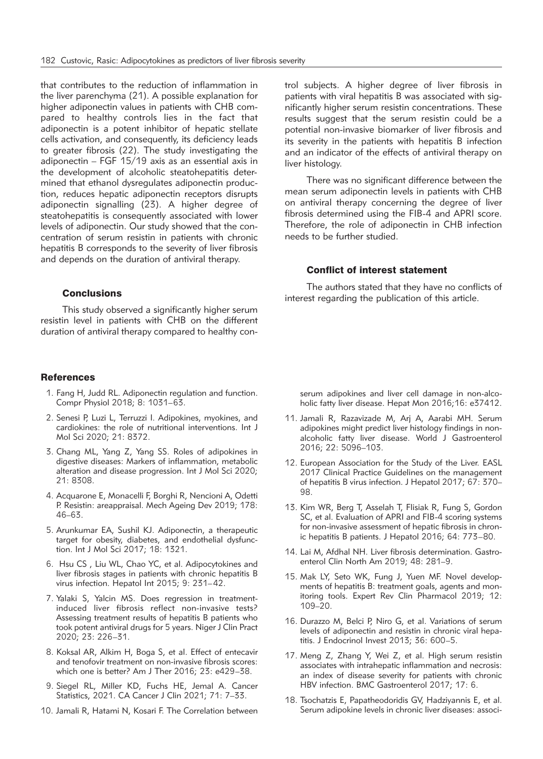that contributes to the reduction of inflammation in the liver parenchyma (21). A possible explanation for higher adiponectin values in patients with CHB compared to healthy controls lies in the fact that adiponectin is a potent inhibitor of hepatic stellate cells activation, and consequently, its deficiency leads to greater fibrosis (22). The study investigating the adiponectin – FGF 15/19 axis as an essential axis in the development of alcoholic steatohepatitis determined that ethanol dysregulates adiponectin production, reduces hepatic adiponectin receptors disrupts adiponectin signalling (23). A higher degree of steatohepatitis is consequently associated with lower levels of adiponectin. Our study showed that the concentration of serum resistin in patients with chronic hepatitis B corresponds to the severity of liver fibrosis and depends on the duration of antiviral therapy.

#### **Conclusions**

This study observed a significantly higher serum resistin level in patients with CHB on the different duration of antiviral therapy compared to healthy con-

#### **References**

- 1. Fang H, Judd RL. Adiponectin regulation and function. Compr Physiol 2018; 8: 1031–63.
- 2. Senesi P, Luzi L, Terruzzi I. Adipokines, myokines, and cardiokines: the role of nutritional interventions. Int J Mol Sci 2020; 21: 8372.
- 3. Chang ML, Yang Z, Yang SS. Roles of adipokines in digestive diseases: Markers of inflammation, metabolic alteration and disease progression. Int J Mol Sci 2020; 21: 8308.
- 4. Acquarone E, Monacelli F, Borghi R, Nencioni A, Odetti P. Resistin: areappraisal. Mech Ageing Dev 2019; 178: 46–63.
- 5. Arunkumar EA, Sushil KJ. Adiponectin, a therapeutic target for obesity, diabetes, and endothelial dysfunction. Int J Mol Sci 2017; 18: 1321.
- 6. Hsu CS , Liu WL, Chao YC, et al. Adipocytokines and liver fibrosis stages in patients with chronic hepatitis B virus infection. Hepatol Int 2015; 9: 231–42.
- 7. Yalaki S, Yalcin MS. Does regression in treatmentinduced liver fibrosis reflect non-invasive tests? Assessing treatment results of hepatitis B patients who took potent antiviral drugs for 5 years. Niger J Clin Pract 2020; 23: 226–31.
- 8. Koksal AR, Alkim H, Boga S, et al. Effect of entecavir and tenofovir treatment on non-invasive fibrosis scores: which one is better? Am J Ther 2016; 23: e429–38.
- 9. Siegel RL, Miller KD, Fuchs HE, Jemal A. Cancer Statistics, 2021. CA Cancer J Clin 2021; 71: 7–33.
- 10. Jamali R, Hatami N, Kosari F. The Correlation between

trol subjects. A higher degree of liver fibrosis in patients with viral hepatitis B was associated with significantly higher serum resistin concentrations. These results suggest that the serum resistin could be a potential non-invasive biomarker of liver fibrosis and its severity in the patients with hepatitis B infection and an indicator of the effects of antiviral therapy on liver histology.

There was no significant difference between the mean serum adiponectin levels in patients with CHB on antiviral therapy concerning the degree of liver fibrosis determined using the FIB-4 and APRI score. Therefore, the role of adiponectin in CHB infection needs to be further studied.

#### Conflict of interest statement

The authors stated that they have no conflicts of interest regarding the publication of this article.

serum adipokines and liver cell damage in non-alcoholic fatty liver disease. Hepat Mon 2016;16: e37412.

- 11. Jamali R, Razavizade M, Arj A, Aarabi MH. Serum adipokines might predict liver histology findings in nonalcoholic fatty liver disease. World J Gastroenterol 2016; 22: 5096–103.
- 12. European Association for the Study of the Liver. EASL 2017 Clinical Practice Guidelines on the management of hepatitis B virus infection. J Hepatol 2017; 67: 370– 98.
- 13. Kim WR, Berg T, Asselah T, Flisiak R, Fung S, Gordon SC, et al. Evaluation of APRI and FIB-4 scoring systems for non-invasive assessment of hepatic fibrosis in chronic hepatitis B patients. J Hepatol 2016; 64: 773–80.
- 14. Lai M. Afdhal NH. Liver fibrosis determination. Gastroenterol Clin North Am 2019; 48: 281–9.
- 15. Mak LY, Seto WK, Fung J, Yuen MF. Novel developments of hepatitis B: treatment goals, agents and monitoring tools. Expert Rev Clin Pharmacol 2019; 12: 109–20.
- 16. Durazzo M, Belci P, Niro G, et al. Variations of serum levels of adiponectin and resistin in chronic viral hepatitis. J Endocrinol Invest 2013; 36: 600–5.
- 17. Meng Z, Zhang Y, Wei Z, et al. High serum resistin associates with intrahepatic inflammation and necrosis: an index of disease severity for patients with chronic HBV infection. BMC Gastroenterol 2017; 17: 6.
- 18. Tsochatzis E, Papatheodoridis GV, Hadziyannis E, et al. Serum adipokine levels in chronic liver diseases: associ-